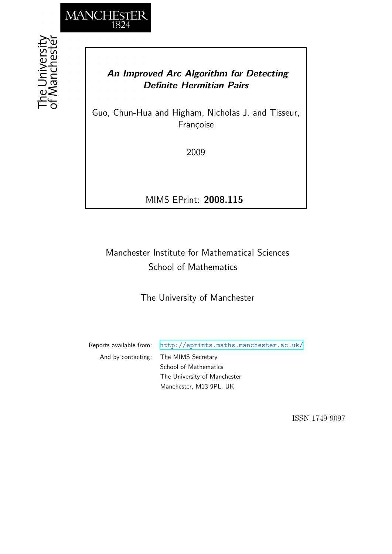

## *An Improved Arc Algorithm for Detecting Definite Hermitian Pairs*

Guo, Chun-Hua and Higham, Nicholas J. and Tisseur, Françoise

2009

MIMS EPrint: **2008.115**

# Manchester Institute for Mathematical Sciences School of Mathematics

The University of Manchester

Reports available from: <http://eprints.maths.manchester.ac.uk/> And by contacting: The MIMS Secretary School of Mathematics The University of Manchester Manchester, M13 9PL, UK

ISSN 1749-9097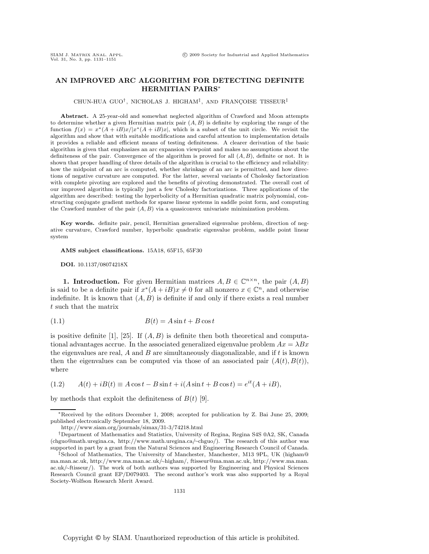### **AN IMPROVED ARC ALGORITHM FOR DETECTING DEFINITE HERMITIAN PAIRS**∗

CHUN-HUA GUO<sup>†</sup>, NICHOLAS J. HIGHAM<sup>‡</sup>, AND FRANÇOISE TISSEUR<sup>‡</sup>

**Abstract.** A 25-year-old and somewhat neglected algorithm of Crawford and Moon attempts to determine whether a given Hermitian matrix pair  $(A, B)$  is definite by exploring the range of the function  $f(x) = x^*(A + iB)x/|x^*(A + iB)x|$ , which is a subset of the unit circle. We revisit the algorithm and show that with suitable modifications and careful attention to implementation details it provides a reliable and efficient means of testing definiteness. A clearer derivation of the basic algorithm is given that emphasizes an arc expansion viewpoint and makes no assumptions about the definiteness of the pair. Convergence of the algorithm is proved for all  $(A, B)$ , definite or not. It is shown that proper handling of three details of the algorithm is crucial to the efficiency and reliability: how the midpoint of an arc is computed, whether shrinkage of an arc is permitted, and how directions of negative curvature are computed. For the latter, several variants of Cholesky factorization with complete pivoting are explored and the benefits of pivoting demonstrated. The overall cost of our improved algorithm is typically just a few Cholesky factorizations. Three applications of the algorithm are described: testing the hyperbolicity of a Hermitian quadratic matrix polynomial, constructing conjugate gradient methods for sparse linear systems in saddle point form, and computing the Crawford number of the pair  $(A, B)$  via a quasiconvex univariate minimization problem.

**Key words.** definite pair, pencil, Hermitian generalized eigenvalue problem, direction of negative curvature, Crawford number, hyperbolic quadratic eigenvalue problem, saddle point linear system

**AMS subject classifications.** 15A18, 65F15, 65F30

**DOI.** 10.1137/08074218X

**1. Introduction.** For given Hermitian matrices  $A, B \in \mathbb{C}^{n \times n}$ , the pair  $(A, B)$ is said to be a definite pair if  $x^*(A + iB)x \neq 0$  for all nonzero  $x \in \mathbb{C}^n$ , and otherwise indefinite. It is known that  $(A, B)$  is definite if and only if there exists a real number t such that the matrix

$$
(1.1)\qquad \qquad B(t) = A\sin t + B\cos t
$$

is positive definite [1], [25]. If  $(A, B)$  is definite then both theoretical and computational advantages accrue. In the associated generalized eigenvalue problem  $Ax = \lambda Bx$ the eigenvalues are real,  $A$  and  $B$  are simultaneously diagonalizable, and if  $t$  is known then the eigenvalues can be computed via those of an associated pair  $(A(t), B(t))$ , where

(1.2)  $A(t) + iB(t) \equiv A \cos t - B \sin t + i(A \sin t + B \cos t) = e^{it}(A + iB),$ 

by methods that exploit the definiteness of  $B(t)$  [9].

<sup>∗</sup>Received by the editors December 1, 2008; accepted for publication by Z. Bai June 25, 2009; published electronically September 18, 2009.

http://www.siam.org/journals/simax/31-3/74218.html

<sup>†</sup>Department of Mathematics and Statistics, University of Regina, Regina S4S 0A2, SK, Canada (chguo@math.uregina.ca, http://www.math.uregina.ca/∼chguo/). The research of this author was supported in part by a grant from the Natural Sciences and Engineering Research Council of Canada.

<sup>‡</sup>School of Mathematics, The University of Manchester, Manchester, M13 9PL, UK (higham@ ma.man.ac.uk, http://www.ma.man.ac.uk/∼higham/, ftisseur@ma.man.ac.uk, http://www.ma.man. ac.uk/∼ftisseur/). The work of both authors was supported by Engineering and Physical Sciences Research Council grant EP/D079403. The second author's work was also supported by a Royal Society-Wolfson Research Merit Award.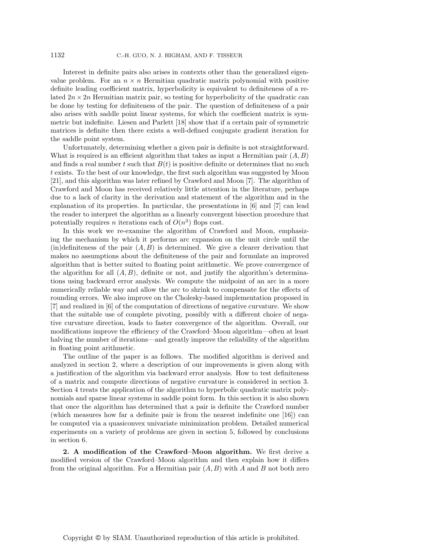Interest in definite pairs also arises in contexts other than the generalized eigenvalue problem. For an  $n \times n$  Hermitian quadratic matrix polynomial with positive definite leading coefficient matrix, hyperbolicity is equivalent to definiteness of a related  $2n \times 2n$  Hermitian matrix pair, so testing for hyperbolicity of the quadratic can be done by testing for definiteness of the pair. The question of definiteness of a pair also arises with saddle point linear systems, for which the coefficient matrix is symmetric but indefinite. Liesen and Parlett [18] show that if a certain pair of symmetric matrices is definite then there exists a well-defined conjugate gradient iteration for the saddle point system.

Unfortunately, determining whether a given pair is definite is not straightforward. What is required is an efficient algorithm that takes as input a Hermitian pair  $(A, B)$ and finds a real number t such that  $B(t)$  is positive definite or determines that no such t exists. To the best of our knowledge, the first such algorithm was suggested by Moon [21], and this algorithm was later refined by Crawford and Moon [7]. The algorithm of Crawford and Moon has received relatively little attention in the literature, perhaps due to a lack of clarity in the derivation and statement of the algorithm and in the explanation of its properties. In particular, the presentations in [6] and [7] can lead the reader to interpret the algorithm as a linearly convergent bisection procedure that potentially requires n iterations each of  $O(n^3)$  flops cost.

In this work we re-examine the algorithm of Crawford and Moon, emphasizing the mechanism by which it performs arc expansion on the unit circle until the  $(in)$ definiteness of the pair  $(A, B)$  is determined. We give a clearer derivation that makes no assumptions about the definiteness of the pair and formulate an improved algorithm that is better suited to floating point arithmetic. We prove convergence of the algorithm for all  $(A, B)$ , definite or not, and justify the algorithm's determinations using backward error analysis. We compute the midpoint of an arc in a more numerically reliable way and allow the arc to shrink to compensate for the effects of rounding errors. We also improve on the Cholesky-based implementation proposed in [7] and realized in [6] of the computation of directions of negative curvature. We show that the suitable use of complete pivoting, possibly with a different choice of negative curvature direction, leads to faster convergence of the algorithm. Overall, our modifications improve the efficiency of the Crawford–Moon algorithm—often at least halving the number of iterations—and greatly improve the reliability of the algorithm in floating point arithmetic.

The outline of the paper is as follows. The modified algorithm is derived and analyzed in section 2, where a description of our improvements is given along with a justification of the algorithm via backward error analysis. How to test definiteness of a matrix and compute directions of negative curvature is considered in section 3. Section 4 treats the application of the algorithm to hyperbolic quadratic matrix polynomials and sparse linear systems in saddle point form. In this section it is also shown that once the algorithm has determined that a pair is definite the Crawford number (which measures how far a definite pair is from the nearest indefinite one [16]) can be computed via a quasiconvex univariate minimization problem. Detailed numerical experiments on a variety of problems are given in section 5, followed by conclusions in section 6.

**2. A modification of the Crawford–Moon algorithm.** We first derive a modified version of the Crawford–Moon algorithm and then explain how it differs from the original algorithm. For a Hermitian pair  $(A, B)$  with A and B not both zero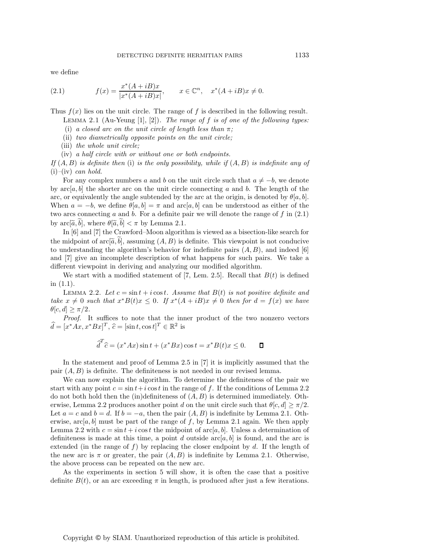we define

(2.1) 
$$
f(x) = \frac{x^*(A + iB)x}{|x^*(A + iB)x|}, \qquad x \in \mathbb{C}^n, \quad x^*(A + iB)x \neq 0.
$$

Thus  $f(x)$  lies on the unit circle. The range of f is described in the following result. Lemma 2.1 (Au-Yeung [1], [2]). *The range of* f *is of one of the following types:*

(i) *a closed arc on the unit circle of length less than* π*;*

(ii) *two diametrically opposite points on the unit circle;*

(iii) *the whole unit circle;*

(iv) *a half circle with or without one or both endpoints.*

*If* (A, B) *is definite then* (i) *is the only possibility, while if* (A, B) *is indefinite any of* (i)*–*(iv) *can hold.*

For any complex numbers a and b on the unit circle such that  $a \neq -b$ , we denote by  $\text{arc}[a, b]$  the shorter arc on the unit circle connecting a and b. The length of the arc, or equivalently the angle subtended by the arc at the origin, is denoted by  $\theta[a, b]$ . When  $a = -b$ , we define  $\theta[a, b] = \pi$  and  $\arctan a$  can be understood as either of the two arcs connecting a and b. For a definite pair we will denote the range of  $f$  in  $(2.1)$ by  $\mathrm{arc}[\tilde{a},b]$ , where  $\theta[\tilde{a},b] < \pi$  by Lemma 2.1.

In [6] and [7] the Crawford–Moon algorithm is viewed as a bisection-like search for the midpoint of arc $[\tilde{a}, b]$ , assuming  $(A, B)$  is definite. This viewpoint is not conducive to understanding the algorithm's behavior for indefinite pairs  $(A, B)$ , and indeed [6] and [7] give an incomplete description of what happens for such pairs. We take a different viewpoint in deriving and analyzing our modified algorithm.

We start with a modified statement of [7, Lem. 2.5]. Recall that  $B(t)$  is defined in (1.1).

LEMMA 2.2. Let  $c = \sin t + i \cos t$ . Assume that  $B(t)$  is not positive definite and *take*  $x \neq 0$  *such that*  $x^*B(t)x \leq 0$ *. If*  $x^*(A + iB)x \neq 0$  *then for*  $d = f(x)$  *we have*  $\theta[c, d] \geq \pi/2$ .

*Proof.* It suffices to note that the inner product of the two nonzero vectors  $\widehat{d} = [x^*Ax, x^*Bx]^T$ ,  $\widehat{c} = [\sin t, \cos t]^T \in \mathbb{R}^2$  is

$$
\widehat{d}^T \widehat{c} = (x^* A x) \sin t + (x^* B x) \cos t = x^* B(t) x \le 0. \qquad \Box
$$

In the statement and proof of Lemma 2.5 in [7] it is implicitly assumed that the pair  $(A, B)$  is definite. The definiteness is not needed in our revised lemma.

We can now explain the algorithm. To determine the definiteness of the pair we start with any point  $c = \sin t + i \cos t$  in the range of f. If the conditions of Lemma 2.2 do not both hold then the (in)definiteness of  $(A, B)$  is determined immediately. Otherwise, Lemma 2.2 produces another point d on the unit circle such that  $\theta[c, d] \ge \pi/2$ . Let  $a = c$  and  $b = d$ . If  $b = -a$ , then the pair  $(A, B)$  is indefinite by Lemma 2.1. Otherwise,  $\arc[a, b]$  must be part of the range of f, by Lemma 2.1 again. We then apply Lemma 2.2 with  $c = \sin t + i \cos t$  the midpoint of arc $[a, b]$ . Unless a determination of definiteness is made at this time, a point d outside  $\arctan[a, b]$  is found, and the arc is extended (in the range of  $f$ ) by replacing the closer endpoint by  $d$ . If the length of the new arc is  $\pi$  or greater, the pair  $(A, B)$  is indefinite by Lemma 2.1. Otherwise, the above process can be repeated on the new arc.

As the experiments in section 5 will show, it is often the case that a positive definite  $B(t)$ , or an arc exceeding  $\pi$  in length, is produced after just a few iterations.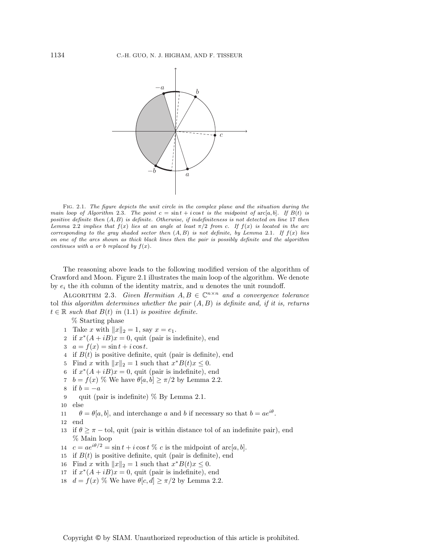

Fig. 2.1. The figure depicts the unit circle in the complex plane and the situation during the main loop of Algorithm 2.3. The point  $c = \sin t + i \cos t$  is the midpoint of  $\mathrm{arc}[a, b]$ . If  $B(t)$  is positive definite then  $(A, B)$  is definite. Otherwise, if indefiniteness is not detected on line 17 then Lemma 2.2 implies that  $f(x)$  lies at an angle at least  $\pi/2$  from c. If  $f(x)$  is located in the arc corresponding to the gray shaded sector then  $(A, B)$  is not definite, by Lemma 2.1. If  $f(x)$  lies on one of the arcs shown as thick black lines then the pair is possibly definite and the algorithm continues with a or b replaced by  $f(x)$ .

The reasoning above leads to the following modified version of the algorithm of Crawford and Moon. Figure 2.1 illustrates the main loop of the algorithm. We denote by  $e_i$  the *i*th column of the identity matrix, and u denotes the unit roundoff.

ALGORITHM 2.3. *Given Hermitian*  $A, B \in \mathbb{C}^{n \times n}$  *and a convergence tolerance* tol *this algorithm determines whether the pair* (A, B) *is definite and, if it is, returns*  $t \in \mathbb{R}$  *such that*  $B(t)$  *in* (1.1) *is positive definite.* 

% Starting phase

- 1 Take x with  $||x||_2 = 1$ , say  $x = e_1$ .
- 2 if  $x^*(A + iB)x = 0$ , quit (pair is indefinite), end
- 3  $a = f(x) = \sin t + i \cos t$ .
- 4 if  $B(t)$  is positive definite, quit (pair is definite), end
- 5 Find x with  $||x||_2 = 1$  such that  $x^*B(t)x \leq 0$ .
- 6 if  $x^*(A + iB)x = 0$ , quit (pair is indefinite), end
- 7  $b = f(x)$  % We have  $\theta[a, b] \ge \pi/2$  by Lemma 2.2.
- 8 if  $b = -a$
- 9 quit (pair is indefinite) % By Lemma 2.1.
- 10 else
- 11  $\theta = \theta[a, b]$ , and interchange a and b if necessary so that  $b = ae^{i\theta}$ .
- 12 end
- 13 if  $\theta \geq \pi$  tol, quit (pair is within distance tol of an indefinite pair), end % Main loop
- 14  $c = ae^{i\theta/2} = \sin t + i \cos t$  % c is the midpoint of  $\mathrm{arc}[a, b]$ .
- 15 if  $B(t)$  is positive definite, quit (pair is definite), end
- 16 Find x with  $||x||_2 = 1$  such that  $x^*B(t)x \leq 0$ .
- 17 if  $x^*(A + iB)x = 0$ , quit (pair is indefinite), end
- 18  $d = f(x)$  % We have  $\theta[c, d] \ge \pi/2$  by Lemma 2.2.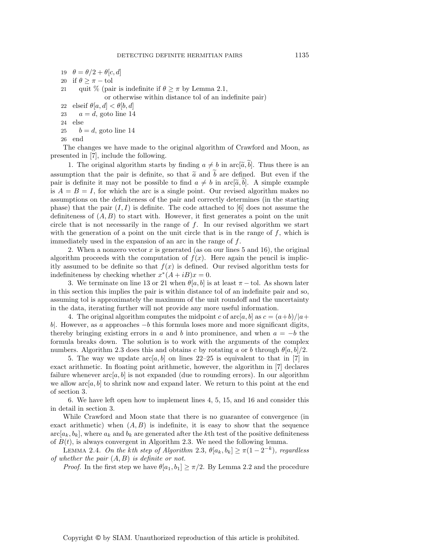- 19  $\theta = \theta/2 + \theta[c, d]$ 20 if  $\theta \geq \pi - \text{tol}$ 21 quit % (pair is indefinite if  $\theta \geq \pi$  by Lemma 2.1, or otherwise within distance tol of an indefinite pair) 22 elseif  $\theta[a, d] < \theta[b, d]$ 23  $a = d$ , goto line 14
- 24 else
- 25  $b = d$ , goto line 14

```
26 end
```
The changes we have made to the original algorithm of Crawford and Moon, as presented in [7], include the following.

1. The original algorithm starts by finding  $a \neq b$  in arc[ $\tilde{a}$ ,  $b$ ]. Thus there is an assumption that the pair is definite, so that  $\tilde{a}$  and b are defined. But even if the pair is definite it may not be possible to find  $a \neq b$  in arc $[\tilde{a}, b]$ . A simple example is  $A = B = I$ , for which the arc is a single point. Our revised algorithm makes no assumptions on the definiteness of the pair and correctly determines (in the starting phase) that the pair  $(I, I)$  is definite. The code attached to [6] does not assume the definiteness of  $(A, B)$  to start with. However, it first generates a point on the unit circle that is not necessarily in the range of  $f$ . In our revised algorithm we start with the generation of a point on the unit circle that is in the range of  $f$ , which is immediately used in the expansion of an arc in the range of f.

2. When a nonzero vector  $x$  is generated (as on our lines 5 and 16), the original algorithm proceeds with the computation of  $f(x)$ . Here again the pencil is implicitly assumed to be definite so that  $f(x)$  is defined. Our revised algorithm tests for indefiniteness by checking whether  $x^*(A + iB)x = 0$ .

3. We terminate on line 13 or 21 when  $\theta[a, b]$  is at least  $\pi$  – tol. As shown later in this section this implies the pair is within distance tol of an indefinite pair and so, assuming tol is approximately the maximum of the unit roundoff and the uncertainty in the data, iterating further will not provide any more useful information.

4. The original algorithm computes the midpoint c of  $\arc|a, b|$  as  $c = (a+b)/|a+$ b. However, as a approaches  $-b$  this formula loses more and more significant digits, thereby bringing existing errors in a and b into prominence, and when  $a = -b$  the formula breaks down. The solution is to work with the arguments of the complex numbers. Algorithm 2.3 does this and obtains c by rotating a or b through  $\theta[a, b]/2$ .

5. The way we update  $\arctan a, b$  on lines 22–25 is equivalent to that in [7] in exact arithmetic. In floating point arithmetic, however, the algorithm in [7] declares failure whenever  $\arctan[a, b]$  is not expanded (due to rounding errors). In our algorithm we allow  $\arc[a, b]$  to shrink now and expand later. We return to this point at the end of section 3.

6. We have left open how to implement lines 4, 5, 15, and 16 and consider this in detail in section 3.

While Crawford and Moon state that there is no guarantee of convergence (in exact arithmetic) when  $(A, B)$  is indefinite, it is easy to show that the sequence  $\arctan[k_k, b_k]$ , where  $a_k$  and  $b_k$  are generated after the kth test of the positive definiteness of  $B(t)$ , is always convergent in Algorithm 2.3. We need the following lemma.

LEMMA 2.4. *On the kth step of Algorithm* 2.3,  $\theta[a_k, b_k] \ge \pi(1-2^{-k})$ *, regardless of whether the pair* (A, B) *is definite or not.*

*Proof.* In the first step we have  $\theta[a_1, b_1] \geq \pi/2$ . By Lemma 2.2 and the procedure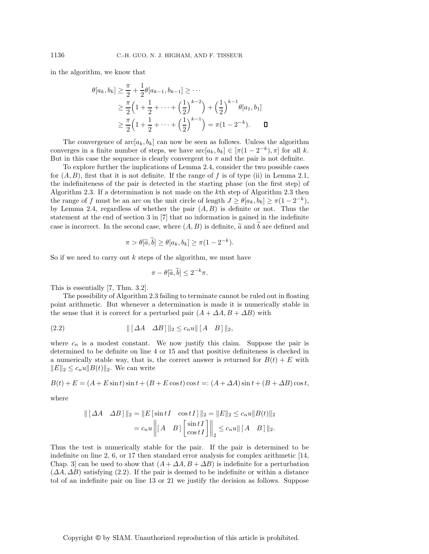in the algorithm, we know that

$$
\theta[a_k, b_k] \geq \frac{\pi}{2} + \frac{1}{2}\theta[a_{k-1}, b_{k-1}] \geq \cdots
$$
  
 
$$
\geq \frac{\pi}{2}\left(1 + \frac{1}{2} + \cdots + \left(\frac{1}{2}\right)^{k-2}\right) + \left(\frac{1}{2}\right)^{k-1}\theta[a_1, b_1]
$$
  
 
$$
\geq \frac{\pi}{2}\left(1 + \frac{1}{2} + \cdots + \left(\frac{1}{2}\right)^{k-1}\right) = \pi(1 - 2^{-k}). \qquad \Box
$$

The convergence of  $\mathrm{arc}[a_k, b_k]$  can now be seen as follows. Unless the algorithm converges in a finite number of steps, we have  $\mathrm{arc}[a_k, b_k] \in [\pi(1-2^{-k}), \pi]$  for all k. But in this case the sequence is clearly convergent to  $\pi$  and the pair is not definite.

To explore further the implications of Lemma 2.4, consider the two possible cases for  $(A, B)$ , first that it is not definite. If the range of f is of type (ii) in Lemma 2.1, the indefiniteness of the pair is detected in the starting phase (on the first step) of Algorithm 2.3. If a determination is not made on the kth step of Algorithm 2.3 then the range of f must be an arc on the unit circle of length  $J \ge \theta[a_k, b_k] \ge \pi(1-2^{-k}),$ by Lemma 2.4, regardless of whether the pair  $(A, B)$  is definite or not. Thus the statement at the end of section 3 in [7] that no information is gained in the indefinite case is incorrect. In the second case, where  $(A, B)$  is definite,  $\tilde{a}$  and b are defined and

$$
\pi > \theta[\widetilde{a}, \widetilde{b}] \ge \theta[a_k, b_k] \ge \pi(1 - 2^{-k}).
$$

So if we need to carry out  $k$  steps of the algorithm, we must have

$$
\pi - \theta[\widetilde{a}, \widetilde{b}] \le 2^{-k}\pi.
$$

This is essentially [7, Thm. 3.2].

The possibility of Algorithm 2.3 failing to terminate cannot be ruled out in floating point arithmetic. But whenever a determination is made it is numerically stable in the sense that it is correct for a perturbed pair  $(A + \Delta A, B + \Delta B)$  with

$$
||[\Delta A \quad \Delta B]||_2 \le c_n u ||[A \quad B]||_2,
$$

where  $c_n$  is a modest constant. We now justify this claim. Suppose the pair is determined to be definite on line 4 or 15 and that positive definiteness is checked in a numerically stable way, that is, the correct answer is returned for  $B(t) + E$  with  $||E||_2 \leq c_n u||B(t)||_2$ . We can write

$$
B(t) + E = (A + E \sin t) \sin t + (B + E \cos t) \cos t = (A + \Delta A) \sin t + (B + \Delta B) \cos t,
$$

where

$$
\| [\Delta A \quad \Delta B] \|_2 = \| E [\sin t I \quad \cos t I] \|_2 = \| E \|_2 \le c_n u \| B(t) \|_2
$$
  
=  $c_n u \left\| [A \quad B] \left[ \frac{\sin t I}{\cos t I} \right] \right\|_2 \le c_n u \| [A \quad B] \|_2.$ 

Thus the test is numerically stable for the pair. If the pair is determined to be indefinite on line 2, 6, or 17 then standard error analysis for complex arithmetic  $[14,$ Chap. 3 can be used to show that  $(A + \Delta A, B + \Delta B)$  is indefinite for a perturbation  $(\Delta A, \Delta B)$  satisfying (2.2). If the pair is deemed to be indefinite or within a distance tol of an indefinite pair on line 13 or 21 we justify the decision as follows. Suppose

Copyright © by SIAM. Unauthorized reproduction of this article is prohibited.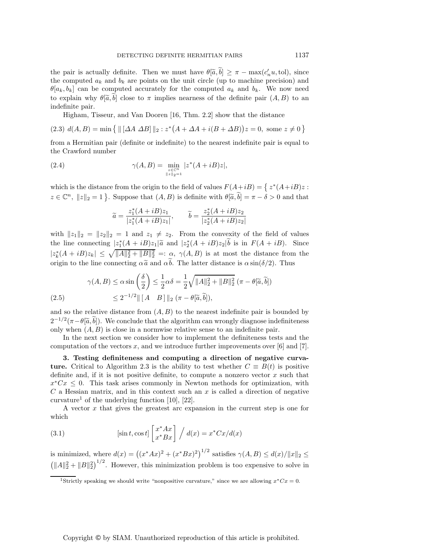the pair is actually definite. Then we must have  $\theta[\tilde{a},b] \geq \pi - \max(c'_n u,\text{tol})$ , since the computed  $a_k$  and  $b_k$  are points on the unit circle (up to machine precision) and  $\theta[a_k, b_k]$  can be computed accurately for the computed  $a_k$  and  $b_k$ . We now need to explain why  $\theta[\tilde{a},b]$  close to  $\pi$  implies nearness of the definite pair  $(A, B)$  to an indefinite pair.

Higham, Tisseur, and Van Dooren [16, Thm. 2.2] show that the distance

(2.3)  $d(A, B) = \min \{ ||[ \Delta A \ \Delta B] ||_2 : z^* (A + \Delta A + i(B + \Delta B)) z = 0, \text{ some } z \neq 0 \}$ 

from a Hermitian pair (definite or indefinite) to the nearest indefinite pair is equal to the Crawford number

(2.4) 
$$
\gamma(A,B) = \min_{\substack{z \in \mathbb{C}^n \\ \|z\|_2 = 1}} |z^*(A + iB)z|,
$$

which is the distance from the origin to the field of values  $F(A+iB) = \int z^*(A+iB)z$ :  $z \in \mathbb{C}^n$ ,  $||z||_2 = 1$ . Suppose that  $(A, B)$  is definite with  $\theta[\tilde{a}, \tilde{b}] = \pi - \delta > 0$  and that

$$
\widetilde{a}=\frac{z_1^*(A+iB)z_1}{|z_1^*(A+iB)z_1|},\qquad \widetilde{b}=\frac{z_2^*(A+iB)z_2}{|z_2^*(A+iB)z_2|}
$$

with  $||z_1||_2 = ||z_2||_2 = 1$  and  $z_1 \neq z_2$ . From the convexity of the field of values the line connecting  $|z_1^*(A + iB)z_1| \tilde{a}$  and  $|z_2^*(A + iB)z_2|b$  is in  $F(A + iB)$ . Since  $|z_k^*(A+iB)z_k|\leq \sqrt{\|A\|_2^2+\|B\|_2^2}=: \alpha, \gamma(A,B)$  is at most the distance from the origin to the line connecting  $\alpha \tilde{a}$  and  $\alpha b$ . The latter distance is  $\alpha \sin(\delta/2)$ . Thus

$$
\gamma(A, B) \le \alpha \sin\left(\frac{\delta}{2}\right) \le \frac{1}{2}\alpha\delta = \frac{1}{2}\sqrt{\|A\|_2^2 + \|B\|_2^2} \left(\pi - \theta[\tilde{a}, \tilde{b}]\right)
$$
  
(2.5)  

$$
\le 2^{-1/2} \|\left[A - B\right]\|_2 \left(\pi - \theta[\tilde{a}, \tilde{b}]\right),
$$

and so the relative distance from  $(A, B)$  to the nearest indefinite pair is bounded by  $2^{-1/2}(\pi-\theta[\tilde{a},\tilde{b}])$ . We conclude that the algorithm can wrongly diagnose indefiniteness only when  $(A, B)$  is close in a normwise relative sense to an indefinite pair.

In the next section we consider how to implement the definiteness tests and the computation of the vectors x, and we introduce further improvements over [6] and [7].

**3. Testing definiteness and computing a direction of negative curvature.** Critical to Algorithm 2.3 is the ability to test whether  $C \equiv B(t)$  is positive definite and, if it is not positive definite, to compute a nonzero vector  $x$  such that  $x^*Cx \leq 0$ . This task arises commonly in Newton methods for optimization, with  $C$  a Hessian matrix, and in this context such an  $x$  is called a direction of negative curvature<sup>1</sup> of the underlying function  $[10]$ ,  $[22]$ .

A vector x that gives the greatest arc expansion in the current step is one for which

(3.1) 
$$
[\sin t, \cos t] \begin{bmatrix} x^* A x \\ x^* B x \end{bmatrix} / d(x) = x^* C x / d(x)
$$

is minimized, where  $d(x) = ((x^*Ax)^2 + (x^*Bx)^2)^{1/2}$  satisfies  $\gamma(A, B) \leq d(x)/||x||_2 \leq$  $\left(\|A\|_2^2 + \|B\|_2^2\right)^{1/2}$ . However, this minimization problem is too expensive to solve in

<sup>&</sup>lt;sup>1</sup>Strictly speaking we should write "nonpositive curvature," since we are allowing  $x * Cx = 0$ .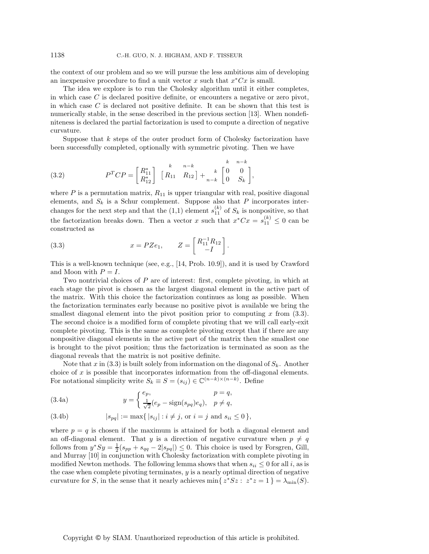the context of our problem and so we will pursue the less ambitious aim of developing an inexpensive procedure to find a unit vector x such that  $x^*Cx$  is small.

The idea we explore is to run the Cholesky algorithm until it either completes, in which case C is declared positive definite, or encounters a negative or zero pivot, in which case  $C$  is declared not positive definite. It can be shown that this test is numerically stable, in the sense described in the previous section [13]. When nondefiniteness is declared the partial factorization is used to compute a direction of negative curvature.

Suppose that  $k$  steps of the outer product form of Cholesky factorization have been successfully completed, optionally with symmetric pivoting. Then we have

(3.2) 
$$
P^{T}CP = \begin{bmatrix} R_{11}^{*} \\ R_{12}^{*} \end{bmatrix} \begin{bmatrix} k & n-k \\ R_{11} & R_{12} \end{bmatrix} + \frac{k}{n-k} \begin{bmatrix} k & n-k \\ 0 & S_k \end{bmatrix},
$$

where  $P$  is a permutation matrix,  $R_{11}$  is upper triangular with real, positive diagonal elements, and  $S_k$  is a Schur complement. Suppose also that P incorporates interchanges for the next step and that the  $(1,1)$  element  $s_{11}^{(k)}$  of  $S_k$  is nonpositive, so that the factorization breaks down. Then a vector x such that  $x^*Cx = s_{11}^{(k)} \leq 0$  can be constructed as

(3.3) 
$$
x = PZe_1
$$
,  $Z = \begin{bmatrix} R_{11}^{-1}R_{12} \\ -I \end{bmatrix}$ .

This is a well-known technique (see, e.g., [14, Prob. 10.9]), and it is used by Crawford and Moon with  $P = I$ .

Two nontrivial choices of  $P$  are of interest: first, complete pivoting, in which at each stage the pivot is chosen as the largest diagonal element in the active part of the matrix. With this choice the factorization continues as long as possible. When the factorization terminates early because no positive pivot is available we bring the smallest diagonal element into the pivot position prior to computing x from  $(3.3)$ . The second choice is a modified form of complete pivoting that we will call early-exit complete pivoting. This is the same as complete pivoting except that if there are any nonpositive diagonal elements in the active part of the matrix then the smallest one is brought to the pivot position; thus the factorization is terminated as soon as the diagonal reveals that the matrix is not positive definite.

Note that x in  $(3.3)$  is built solely from information on the diagonal of  $S_k$ . Another choice of  $x$  is possible that incorporates information from the off-diagonal elements. For notational simplicity write  $S_k \equiv S = (s_{ij}) \in \mathbb{C}^{(n-k)\times(n-k)}$ . Define

(3.4a) 
$$
y = \begin{cases} e_p, & p = q, \\ \frac{1}{\sqrt{2}}(e_p - \text{sign}(s_{pq})e_q), & p \neq q, \end{cases}
$$

(3.4b) 
$$
|s_{pq}| := \max\{|s_{ij}| : i \neq j, \text{ or } i = j \text{ and } s_{ii} \leq 0\},\
$$

where  $p = q$  is chosen if the maximum is attained for both a diagonal element and an off-diagonal element. That y is a direction of negative curvature when  $p \neq q$ follows from  $y^*Sy = \frac{1}{2}(s_{pp} + s_{qq} - 2|s_{pq}|) \leq 0$ . This choice is used by Forsgren, Gill, and Murray [10] in conjunction with Cholesky factorization with complete pivoting in modified Newton methods. The following lemma shows that when  $s_{ii} \leq 0$  for all i, as is the case when complete pivoting terminates,  $y$  is a nearly optimal direction of negative curvature for S, in the sense that it nearly achieves min{  $z^*Sz$  :  $z^*z = 1$  } =  $\lambda_{\min}(S)$ .

Copyright © by SIAM. Unauthorized reproduction of this article is prohibited.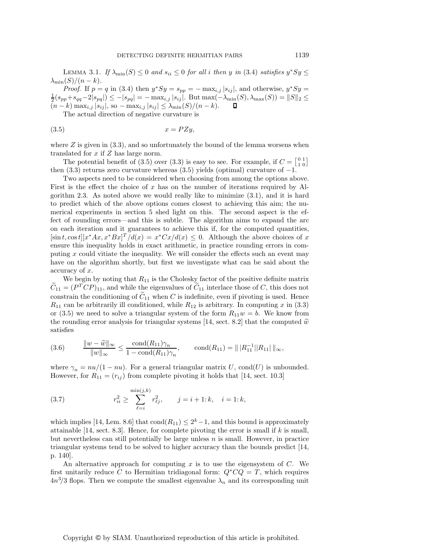LEMMA 3.1. *If*  $\lambda_{\min}(S) \leq 0$  *and*  $s_{ii} \leq 0$  *for all i then* y *in* (3.4) *satisfies*  $y^*Sy \leq 0$  $\lambda_{\min}(S)/(n-k)$ .

*Proof.* If  $p = q$  in (3.4) then  $y * Sy = s_{pp} = -\max_{i,j} |s_{ij}|$ , and otherwise,  $y * Sy =$  $\frac{1}{2}(s_{pp}+s_{qq}-2|s_{pq}|) \leq -|s_{pq}| = -\max_{i,j}|s_{ij}|$ . But max $(-\lambda_{\min}(S), \lambda_{\max}(S)) = ||S||_2 \leq (n-k)\max_{i,j}|s_{ij}|$ , so  $-\max_{i,j}|s_{ij}| \leq \lambda_{\min}(S)/(n-k)$ .  $\Box$  $(n - k) \max_{i,j} |s_{ij}|$ , so  $-\max_{i,j} |s_{ij}| \leq \lambda_{\min}(S)/(n - k)$ .

The actual direction of negative curvature is

$$
(3.5) \t\t x = PZy,
$$

where  $Z$  is given in  $(3.3)$ , and so unfortunately the bound of the lemma worsens when translated for x if Z has large norm.

The potential benefit of (3.5) over (3.3) is easy to see. For example, if  $C = \begin{bmatrix} 0 & 1 \\ 1 & 0 \end{bmatrix}$ then  $(3.3)$  returns zero curvature whereas  $(3.5)$  yields (optimal) curvature of  $-1$ .

Two aspects need to be considered when choosing from among the options above. First is the effect the choice of x has on the number of iterations required by Algorithm 2.3. As noted above we would really like to minimize (3.1), and it is hard to predict which of the above options comes closest to achieving this aim; the numerical experiments in section 5 shed light on this. The second aspect is the effect of rounding errors—and this is subtle. The algorithm aims to expand the arc on each iteration and it guarantees to achieve this if, for the computed quantities,  $[\sin t, \cos t][x^*Ax, x^*Bx]^T/d(x) = x^*Cx/d(x) \leq 0$ . Although the above choices of x ensure this inequality holds in exact arithmetic, in practice rounding errors in computing  $x$  could vitiate the inequality. We will consider the effects such an event may have on the algorithm shortly, but first we investigate what can be said about the accuracy of x.

We begin by noting that  $R_{11}$  is the Cholesky factor of the positive definite matrix  $\widetilde{C}_{11} = (P^T C P)_{11}$ , and while the eigenvalues of  $\widetilde{C}_{11}$  interlace those of C, this does not constrain the conditioning of  $C_{11}$  when  $C$  is indefinite, even if pivoting is used. Hence  $R_{11}$  can be arbitrarily ill conditioned, while  $R_{12}$  is arbitrary. In computing x in (3.3) or (3.5) we need to solve a triangular system of the form  $R_{11}w = b$ . We know from the rounding error analysis for triangular systems [14, sect. 8.2] that the computed  $\hat{w}$ satisfies

$$
(3.6) \qquad \frac{\|w - \widehat{w}\|_{\infty}}{\|w\|_{\infty}} \le \frac{\text{cond}(R_{11})\gamma_n}{1 - \text{cond}(R_{11})\gamma_n}, \qquad \text{cond}(R_{11}) = \| |R_{11}^{-1}| |R_{11}| \|_{\infty},
$$

where  $\gamma_n = nu/(1 - nu)$ . For a general triangular matrix U, cond(U) is unbounded. However, for  $R_{11} = (r_{ij})$  from complete pivoting it holds that [14, sect. 10.3]

(3.7) 
$$
r_{ii}^2 \ge \sum_{\ell=i}^{\min(j,k)} r_{\ell j}^2, \qquad j = i+1; k, \quad i = 1; k,
$$

which implies [14, Lem. 8.6] that  $\text{cond}(R_{11}) \leq 2^k - 1$ , and this bound is approximately attainable  $[14, \text{ sect. } 8.3]$ . Hence, for complete pivoting the error is small if k is small, but nevertheless can still potentially be large unless  $n$  is small. However, in practice triangular systems tend to be solved to higher accuracy than the bounds predict [14, p. 140].

An alternative approach for computing x is to use the eigensystem of  $C$ . We first unitarily reduce C to Hermitian tridiagonal form:  $Q^*CQ = T$ , which requires  $4n^3/3$  flops. Then we compute the smallest eigenvalue  $\lambda_n$  and its corresponding unit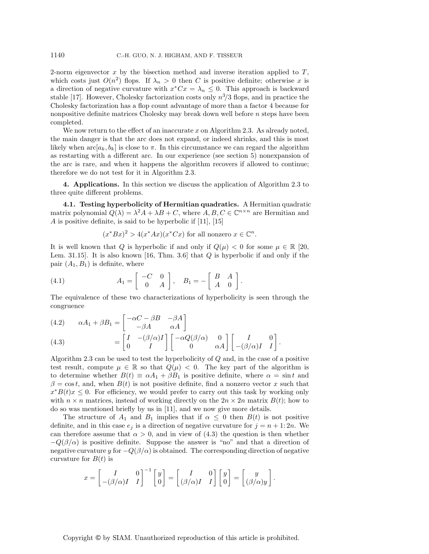2-norm eigenvector  $x$  by the bisection method and inverse iteration applied to  $T$ , which costs just  $O(n^2)$  flops. If  $\lambda_n > 0$  then C is positive definite; otherwise x is a direction of negative curvature with  $x * Cx = \lambda_n \leq 0$ . This approach is backward stable [17]. However, Cholesky factorization costs only  $n^3/3$  flops, and in practice the Cholesky factorization has a flop count advantage of more than a factor 4 because for nonpositive definite matrices Cholesky may break down well before  $n$  steps have been completed.

We now return to the effect of an inaccurate  $x$  on Algorithm 2.3. As already noted, the main danger is that the arc does not expand, or indeed shrinks, and this is most likely when  $\arccos a_k$ ,  $b_k$  is close to  $\pi$ . In this circumstance we can regard the algorithm as restarting with a different arc. In our experience (see section 5) nonexpansion of the arc is rare, and when it happens the algorithm recovers if allowed to continue; therefore we do not test for it in Algorithm 2.3.

**4. Applications.** In this section we discuss the application of Algorithm 2.3 to three quite different problems.

**4.1. Testing hyperbolicity of Hermitian quadratics.** A Hermitian quadratic matrix polynomial  $Q(\lambda) = \lambda^2 A + \lambda B + C$ , where  $A, B, C \in \mathbb{C}^{n \times n}$  are Hermitian and A is positive definite, is said to be hyperbolic if [11], [15]

$$
(x^*Bx)^2 > 4(x^*Ax)(x^*Cx)
$$
 for all nonzero  $x \in \mathbb{C}^n$ .

It is well known that Q is hyperbolic if and only if  $Q(\mu) < 0$  for some  $\mu \in \mathbb{R}$  [20, Lem. 31.15. It is also known  $[16, Thm. 3.6]$  that  $Q$  is hyperbolic if and only if the pair  $(A_1, B_1)$  is definite, where

(4.1) 
$$
A_1 = \begin{bmatrix} -C & 0 \\ 0 & A \end{bmatrix}, \quad B_1 = -\begin{bmatrix} B & A \\ A & 0 \end{bmatrix}.
$$

The equivalence of these two characterizations of hyperbolicity is seen through the congruence

(4.2) 
$$
\alpha A_1 + \beta B_1 = \begin{bmatrix} -\alpha C - \beta B & -\beta A \\ -\beta A & \alpha A \end{bmatrix}
$$

$$
(4.3) \qquad \begin{aligned} \n\alpha A_1 + \beta B_1 &= \begin{bmatrix} I & -(\beta/\alpha)I \\ 0 & I \end{bmatrix} \begin{bmatrix} -\alpha Q(\beta/\alpha) & 0 \\ 0 & \alpha A \end{bmatrix} \begin{bmatrix} I & 0 \\ -(\beta/\alpha)I & I \end{bmatrix}.\n\end{aligned}
$$

Algorithm 2.3 can be used to test the hyperbolicity of  $Q$  and, in the case of a positive test result, compute  $\mu \in \mathbb{R}$  so that  $Q(\mu) < 0$ . The key part of the algorithm is to determine whether  $B(t) \equiv \alpha A_1 + \beta B_1$  is positive definite, where  $\alpha = \sin t$  and  $\beta = \cos t$ , and, when  $B(t)$  is not positive definite, find a nonzero vector x such that  $x^*B(t)x \leq 0$ . For efficiency, we would prefer to carry out this task by working only with  $n \times n$  matrices, instead of working directly on the  $2n \times 2n$  matrix  $B(t)$ ; how to do so was mentioned briefly by us in [11], and we now give more details.

The structure of  $A_1$  and  $B_1$  implies that if  $\alpha \leq 0$  then  $B(t)$  is not positive definite, and in this case  $e_i$  is a direction of negative curvature for  $j = n + 1: 2n$ . We can therefore assume that  $\alpha > 0$ , and in view of (4.3) the question is then whether  $-Q(\beta/\alpha)$  is positive definite. Suppose the answer is "no" and that a direction of negative curvature y for  $-Q(\beta/\alpha)$  is obtained. The corresponding direction of negative curvature for  $B(t)$  is

$$
x = \begin{bmatrix} I & 0 \\ -(\beta/\alpha)I & I \end{bmatrix}^{-1} \begin{bmatrix} y \\ 0 \end{bmatrix} = \begin{bmatrix} I & 0 \\ (\beta/\alpha)I & I \end{bmatrix} \begin{bmatrix} y \\ 0 \end{bmatrix} = \begin{bmatrix} y \\ (\beta/\alpha)y \end{bmatrix}.
$$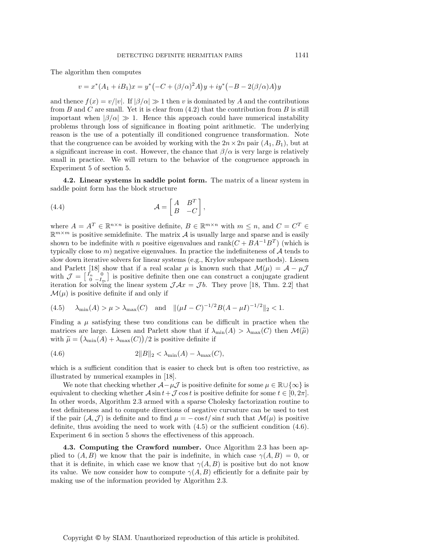The algorithm then computes

$$
v = x^*(A_1 + iB_1)x = y^*(-C + (\beta/\alpha)^2 A)y + iy^*(-B - 2(\beta/\alpha)A)y
$$

and thence  $f(x) = v/|v|$ . If  $|\beta/\alpha| \gg 1$  then v is dominated by A and the contributions from  $B$  and  $C$  are small. Yet it is clear from  $(4.2)$  that the contribution from  $B$  is still important when  $|\beta/\alpha| \gg 1$ . Hence this approach could have numerical instability problems through loss of significance in floating point arithmetic. The underlying reason is the use of a potentially ill conditioned congruence transformation. Note that the congruence can be avoided by working with the  $2n \times 2n$  pair  $(A_1, B_1)$ , but at a significant increase in cost. However, the chance that  $\beta/\alpha$  is very large is relatively small in practice. We will return to the behavior of the congruence approach in Experiment 5 of section 5.

**4.2. Linear systems in saddle point form.** The matrix of a linear system in saddle point form has the block structure

(4.4) 
$$
\mathcal{A} = \begin{bmatrix} A & B^T \\ B & -C \end{bmatrix},
$$

where  $A = A^T \in \mathbb{R}^{n \times n}$  is positive definite,  $B \in \mathbb{R}^{m \times n}$  with  $m \leq n$ , and  $C = C^T \in$  $\mathbb{R}^{m \times m}$  is positive semidefinite. The matrix A is usually large and sparse and is easily shown to be indefinite with n positive eigenvalues and rank $(C + BA^{-1}B^{T})$  (which is typically close to m) negative eigenvalues. In practice the indefiniteness of  $A$  tends to slow down iterative solvers for linear systems (e.g., Krylov subspace methods). Liesen and Parlett [18] show that if a real scalar  $\mu$  is known such that  $\mathcal{M}(\mu) = \mathcal{A} - \mu \mathcal{J}$ with  $\mathcal{J} = \begin{bmatrix} I_n & 0 \\ 0 & -I_m \end{bmatrix}$  is positive definite then one can construct a conjugate gradient iteration for solving the linear system  $\mathcal{J}Ax = \mathcal{J}b$ . They prove [18, Thm. 2.2] that  $\mathcal{M}(\mu)$  is positive definite if and only if

(4.5) 
$$
\lambda_{\min}(A) > \mu > \lambda_{\max}(C)
$$
 and  $\|(\mu I - C)^{-1/2}B(A - \mu I)^{-1/2}\|_2 < 1$ .

Finding a  $\mu$  satisfying these two conditions can be difficult in practice when the matrices are large. Liesen and Parlett show that if  $\lambda_{\min}(A) > \lambda_{\max}(C)$  then  $\mathcal{M}(\widetilde{\mu})$ with  $\widetilde{\mu} = (\lambda_{\min}(\widetilde{A}) + \lambda_{\max}(C))/2$  is positive definite if

(4.6) 
$$
2||B||_2 < \lambda_{\min}(A) - \lambda_{\max}(C),
$$

which is a sufficient condition that is easier to check but is often too restrictive, as illustrated by numerical examples in [18].

We note that checking whether  $\mathcal{A}-\mu\mathcal{J}$  is positive definite for some  $\mu \in \mathbb{R}\cup\{\infty\}$  is equivalent to checking whether  $\mathcal{A} \sin t + \mathcal{J} \cos t$  is positive definite for some  $t \in [0, 2\pi]$ . In other words, Algorithm 2.3 armed with a sparse Cholesky factorization routine to test definiteness and to compute directions of negative curvature can be used to test if the pair  $(\mathcal{A}, \mathcal{J})$  is definite and to find  $\mu = -\cos t / \sin t$  such that  $\mathcal{M}(\mu)$  is positive definite, thus avoiding the need to work with (4.5) or the sufficient condition (4.6). Experiment 6 in section 5 shows the effectiveness of this approach.

**4.3. Computing the Crawford number.** Once Algorithm 2.3 has been applied to  $(A, B)$  we know that the pair is indefinite, in which case  $\gamma(A, B) = 0$ , or that it is definite, in which case we know that  $\gamma(A, B)$  is positive but do not know its value. We now consider how to compute  $\gamma(A, B)$  efficiently for a definite pair by making use of the information provided by Algorithm 2.3.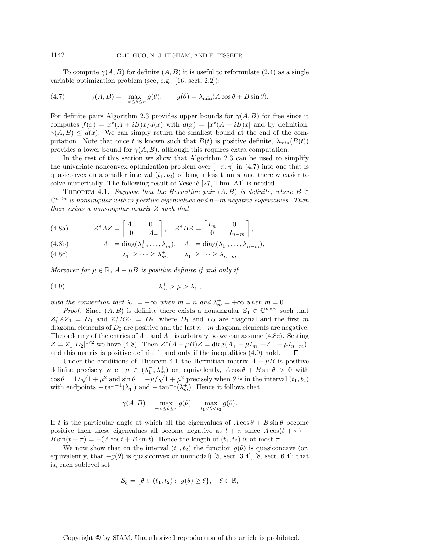To compute  $\gamma(A, B)$  for definite  $(A, B)$  it is useful to reformulate (2.4) as a single variable optimization problem (see, e.g., [16, sect. 2.2]):

(4.7) 
$$
\gamma(A,B) = \max_{-\pi \leq \theta \leq \pi} g(\theta), \qquad g(\theta) = \lambda_{\min}(A\cos\theta + B\sin\theta).
$$

For definite pairs Algorithm 2.3 provides upper bounds for  $\gamma(A, B)$  for free since it computes  $f(x) = x^*(A + iB)x/d(x)$  with  $d(x) = |x^*(A + iB)x|$  and by definition,  $\gamma(A, B) \leq d(x)$ . We can simply return the smallest bound at the end of the computation. Note that once t is known such that  $B(t)$  is positive definite,  $\lambda_{\min}(B(t))$ provides a lower bound for  $\gamma(A, B)$ , although this requires extra computation.

In the rest of this section we show that Algorithm 2.3 can be used to simplify the univariate nonconvex optimization problem over  $[-\pi, \pi]$  in (4.7) into one that is quasiconvex on a smaller interval  $(t_1, t_2)$  of length less than  $\pi$  and thereby easier to solve numerically. The following result of Veselić  $[27, Thm. A1]$  is needed.

THEOREM 4.1. *Suppose that the Hermitian pair*  $(A, B)$  *is definite, where*  $B \in$ C<sup>n</sup>×<sup>n</sup> *is nonsingular with* m *positive eigenvalues and* n−m *negative eigenvalues. Then there exists a nonsingular matrix* Z *such that*

(4.8a) 
$$
Z^*AZ = \begin{bmatrix} A_+ & 0 \\ 0 & -A_- \end{bmatrix}, \quad Z^*BZ = \begin{bmatrix} I_m & 0 \\ 0 & -I_{n-m} \end{bmatrix},
$$

(4.8b) 
$$
\Lambda_+ = \text{diag}(\lambda_1^+, \dots, \lambda_m^+), \quad \Lambda_- = \text{diag}(\lambda_1^-, \dots, \lambda_{n-m}^-,
$$

(4.8c) 
$$
\lambda_1^+ \geq \cdots \geq \lambda_m^+, \qquad \lambda_1^- \geq \cdots \geq \lambda_{n-m}^-.
$$

*Moreover for*  $\mu \in \mathbb{R}$ ,  $A - \mu B$  *is positive definite if and only if* 

$$
\lambda_m^+ > \mu > \lambda_1^-,
$$

*with the convention that*  $\lambda_1^- = -\infty$  *when*  $m = n$  *and*  $\lambda_m^+ = +\infty$  *when*  $m = 0$ *.* 

*Proof.* Since  $(A, B)$  is definite there exists a nonsingular  $Z_1 \in \mathbb{C}^{n \times n}$  such that  $Z_1^* A Z_1 = D_1$  and  $Z_1^* B Z_1 = D_2$ , where  $D_1$  and  $D_2$  are diagonal and the first m diagonal elements of  $D_2$  are positive and the last  $n-m$  diagonal elements are negative. The ordering of the entries of  $\Lambda_+$  and  $\Lambda_-$  is arbitrary, so we can assume (4.8c). Setting  $Z = Z_1 |D_2|^{1/2}$  we have (4.8). Then  $Z^*(A - \mu B)Z = \text{diag}(A_+ - \mu I_m, -A_- + \mu I_{n-m}),$ and this matrix is positive definite if and only if the inequalities (4.9) hold.

Under the conditions of Theorem 4.1 the Hermitian matrix  $A - \mu B$  is positive definite precisely when  $\mu \in (\lambda_1^-, \lambda_m^+)$  or, equivalently,  $A \cos \theta + B \sin \theta > 0$  with  $\cos \theta = 1/\sqrt{1+\mu^2}$  and  $\sin \theta = -\mu/\sqrt{1+\mu^2}$  precisely when  $\theta$  is in the interval  $(t_1, t_2)$ with endpoints  $-\tan^{-1}(\lambda_1^-)$  and  $-\tan^{-1}(\lambda_m^+)$ . Hence it follows that

$$
\gamma(A,B) = \max_{-\pi \le \theta \le \pi} g(\theta) = \max_{t_1 < \theta < t_2} g(\theta).
$$

If t is the particular angle at which all the eigenvalues of  $A \cos \theta + B \sin \theta$  become positive then these eigenvalues all become negative at  $t + \pi$  since  $A \cos(t + \pi)$  +  $B\sin(t+\pi) = -(A\cos t + B\sin t)$ . Hence the length of  $(t_1, t_2)$  is at most  $\pi$ .

We now show that on the interval  $(t_1, t_2)$  the function  $g(\theta)$  is quasiconcave (or, equivalently, that  $-g(\theta)$  is quasiconvex or unimodal) [5, sect. 3.4], [8, sect. 6.4]; that is, each sublevel set

$$
\mathcal{S}_{\xi} = \{ \theta \in (t_1, t_2) : g(\theta) \ge \xi \}, \quad \xi \in \mathbb{R},
$$

Copyright © by SIAM. Unauthorized reproduction of this article is prohibited.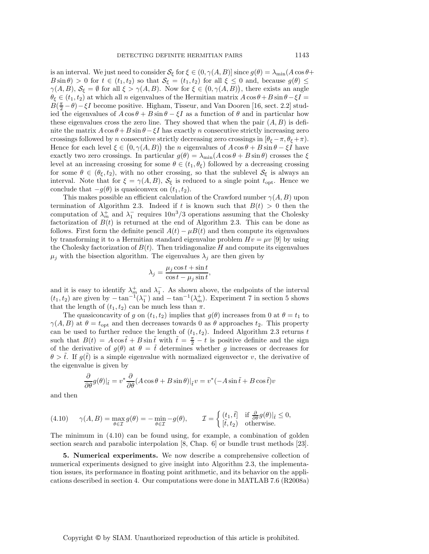is an interval. We just need to consider  $S_{\xi}$  for  $\xi \in (0, \gamma(A, B)]$  since  $g(\theta) = \lambda_{\min}(A \cos \theta +$  $B\sin\theta$  > 0 for  $t \in (t_1, t_2)$  so that  $\mathcal{S}_{\xi} = (t_1, t_2)$  for all  $\xi \leq 0$  and, because  $g(\theta) \leq$  $\gamma(A,B), \mathcal{S}_{\xi} = \emptyset$  for all  $\xi > \gamma(A,B)$ . Now for  $\xi \in (0, \gamma(A,B))$ , there exists an angle  $\theta_{\xi} \in (t_1, t_2)$  at which all n eigenvalues of the Hermitian matrix  $A \cos \theta + B \sin \theta - \xi I =$  $B(\frac{\pi}{2}-\theta)-\xi I$  become positive. Higham, Tisseur, and Van Dooren [16, sect. 2.2] studied the eigenvalues of  $A \cos \theta + B \sin \theta - \xi I$  as a function of  $\theta$  and in particular how these eigenvalues cross the zero line. They showed that when the pair  $(A, B)$  is definite the matrix  $A \cos \theta + B \sin \theta - \xi I$  has exactly n consecutive strictly increasing zero crossings followed by n consecutive strictly decreasing zero crossings in  $[\theta_{\xi} - \pi, \theta_{\xi} + \pi]$ . Hence for each level  $\xi \in (0, \gamma(A, B))$  the *n* eigenvalues of  $A \cos \theta + B \sin \theta - \xi I$  have exactly two zero crossings. In particular  $g(\theta) = \lambda_{\min}(A \cos \theta + B \sin \theta)$  crosses the  $\xi$ level at an increasing crossing for some  $\theta \in (t_1, \theta_\xi)$  followed by a decreasing crossing for some  $\theta \in (\theta_{\xi}, t_2)$ , with no other crossing, so that the sublevel  $S_{\xi}$  is always an interval. Note that for  $\xi = \gamma(A, B)$ ,  $S_{\xi}$  is reduced to a single point  $t_{\text{opt}}$ . Hence we conclude that  $-g(\theta)$  is quasiconvex on  $(t_1, t_2)$ .

This makes possible an efficient calculation of the Crawford number  $\gamma(A, B)$  upon termination of Algorithm 2.3. Indeed if t is known such that  $B(t) > 0$  then the computation of  $\lambda_m^+$  and  $\lambda_1^-$  requires  $10n^3/3$  operations assuming that the Cholesky factorization of  $B(t)$  is returned at the end of Algorithm 2.3. This can be done as follows. First form the definite pencil  $A(t) - \mu B(t)$  and then compute its eigenvalues by transforming it to a Hermitian standard eigenvalue problem  $Hv = \mu v$  [9] by using the Cholesky factorization of  $B(t)$ . Then tridiagonalize H and compute its eigenvalues  $\mu_j$  with the bisection algorithm. The eigenvalues  $\lambda_j$  are then given by

$$
\lambda_j = \frac{\mu_j \cos t + \sin t}{\cos t - \mu_j \sin t},
$$

and it is easy to identify  $\lambda_m^+$  and  $\lambda_1^-$ . As shown above, the endpoints of the interval  $(t_1, t_2)$  are given by  $-\tan^{-1}(\lambda_1^-)$  and  $-\tan^{-1}(\lambda_m^+)$ . Experiment 7 in section 5 shows that the length of  $(t_1, t_2)$  can be much less than  $\pi$ .

The quasiconcavity of g on  $(t_1, t_2)$  implies that  $g(\theta)$  increases from 0 at  $\theta = t_1$  to  $\gamma(A, B)$  at  $\theta = t_{\text{opt}}$  and then decreases towards 0 as  $\theta$  approaches  $t_2$ . This property can be used to further reduce the length of  $(t_1, t_2)$ . Indeed Algorithm 2.3 returns t such that  $B(t) = A \cos \tilde{t} + B \sin \tilde{t}$  with  $\tilde{t} = \frac{\pi}{2} - t$  is positive definite and the sign of the derivative of  $g(\theta)$  at  $\theta = \tilde{t}$  determines whether g increases or decreases for  $\theta > \tilde{t}$ . If  $g(\tilde{t})$  is a simple eigenvalue with normalized eigenvector v, the derivative of the eigenvalue is given by

$$
\frac{\partial}{\partial \theta} g(\theta)|_{\tilde{t}} = v^* \frac{\partial}{\partial \theta} (A \cos \theta + B \sin \theta)|_{\tilde{t}} v = v^* (-A \sin \tilde{t} + B \cos \tilde{t}) v
$$

and then

$$
(4.10) \qquad \gamma(A,B)=\max_{\theta\in\mathcal{I}}g(\theta)=-\min_{\theta\in\mathcal{I}}-g(\theta),\qquad \mathcal{I}=\left\{ \begin{aligned} &(t_1,\tilde{t}]\quad \text{if}\,\, \frac{\partial}{\partial\theta}g(\theta)|_{\tilde{t}}\leq 0,\\ &\tilde{[t,t_2)}\quad \text{otherwise}. \end{aligned} \right.
$$

The minimum in (4.10) can be found using, for example, a combination of golden section search and parabolic interpolation [8, Chap. 6] or bundle trust methods [23].

**5. Numerical experiments.** We now describe a comprehensive collection of numerical experiments designed to give insight into Algorithm 2.3, the implementation issues, its performance in floating point arithmetic, and its behavior on the applications described in section 4. Our computations were done in MATLAB 7.6 (R2008a)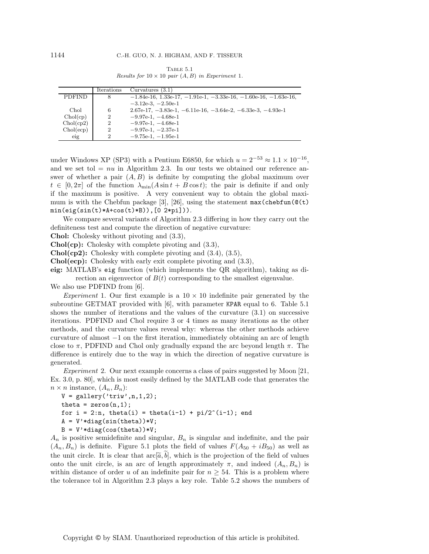| TABLE 5.1                                                                      |  |
|--------------------------------------------------------------------------------|--|
| <i>Results for</i> $10 \times 10$ <i>pair</i> $(A, B)$ <i>in Experiment</i> 1. |  |

|               | Iterations     | Curvatures $(3.1)$                                                             |
|---------------|----------------|--------------------------------------------------------------------------------|
| <b>PDFIND</b> | 8              | $-1.84e-16$ , 1.33e-17, $-1.91e-1$ , $-3.33e-16$ , $-1.60e-16$ , $-1.63e-16$ , |
|               |                | $-3.12e-3$ , $-2.50e-1$                                                        |
| Chol          | 6              | $2.67e-17, -3.83e-1, -6.11e-16, -3.64e-2, -6.33e-3, -4.93e-1$                  |
| Chol(cp)      | $\overline{2}$ | $-9.97e-1$ , $-4.68e-1$                                                        |
| Chol(cp2)     | $\overline{2}$ | $-9.97e-1$ , $-4.68e-1$                                                        |
| Chol(ecp)     | $\overline{2}$ | $-9.97e-1, -2.37e-1$                                                           |
| eig           | 2              | $-9.75e-1$ , $-1.95e-1$                                                        |

under Windows XP (SP3) with a Pentium E6850, for which  $u = 2^{-53} \approx 1.1 \times 10^{-16}$ , and we set tol  $= nu$  in Algorithm 2.3. In our tests we obtained our reference answer of whether a pair  $(A, B)$  is definite by computing the global maximum over  $t \in [0, 2\pi]$  of the function  $\lambda_{\min}(A \sin t + B \cos t)$ ; the pair is definite if and only if the maximum is positive. A very convenient way to obtain the global maximum is with the Chebfun package [3], [26], using the statement  $max(chebfun(\mathcal{Q}(t))$  $min(eig(sin(t)*A+cos(t)*B)),[0 2*pi]).$ 

We compare several variants of Algorithm 2.3 differing in how they carry out the definiteness test and compute the direction of negative curvature:

**Chol:** Cholesky without pivoting and (3.3),

**Chol(cp):** Cholesky with complete pivoting and (3.3),

**Chol(cp2):** Cholesky with complete pivoting and (3.4), (3.5),

**Chol(ecp):** Cholesky with early exit complete pivoting and (3.3),

**eig:** MATLAB's eig function (which implements the QR algorithm), taking as direction an eigenvector of  $B(t)$  corresponding to the smallest eigenvalue.

We also use PDFIND from [6].

*Experiment* 1. Our first example is a  $10 \times 10$  indefinite pair generated by the subroutine GETMAT provided with  $[6]$ , with parameter KPAR equal to 6. Table 5.1 shows the number of iterations and the values of the curvature (3.1) on successive iterations. PDFIND and Chol require 3 or 4 times as many iterations as the other methods, and the curvature values reveal why: whereas the other methods achieve curvature of almost −1 on the first iteration, immediately obtaining an arc of length close to  $\pi$ , PDFIND and Chol only gradually expand the arc beyond length  $\pi$ . The difference is entirely due to the way in which the direction of negative curvature is generated.

*Experiment* 2. Our next example concerns a class of pairs suggested by Moon [21, Ex. 3.0, p. 80], which is most easily defined by the MATLAB code that generates the  $n \times n$  instance,  $(A_n, B_n)$ :

```
V = \text{gallery('triv',n,1,2)};theta = zeros(n, 1);
for i = 2:n, theta(i) = theta(i-1) + pi/2^(i-1); end
A = V' * diag(sin(theta)) * V;B = V' * diag(cos(theta)) * V;
```
 $A_n$  is positive semidefinite and singular,  $B_n$  is singular and indefinite, and the pair  $(A_n, B_n)$  is definite. Figure 5.1 plots the field of values  $F(A_{50} + iB_{50})$  as well as the unit circle. It is clear that  $\text{arc}[\tilde{a}, b]$ , which is the projection of the field of values onto the unit circle, is an arc of length approximately  $\pi$ , and indeed  $(A_n, B_n)$  is within distance of order u of an indefinite pair for  $n \geq 54$ . This is a problem where the tolerance tol in Algorithm 2.3 plays a key role. Table 5.2 shows the numbers of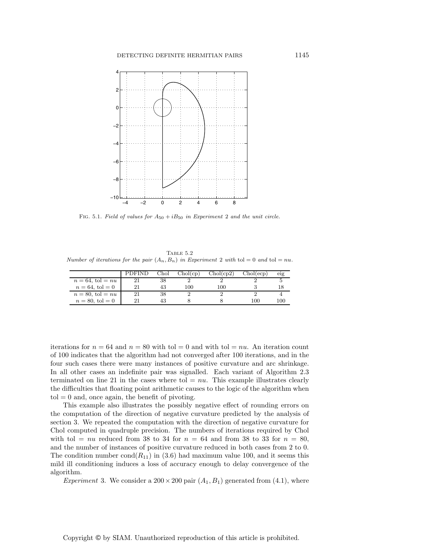

FIG. 5.1. Field of values for  $A_{50} + iB_{50}$  in Experiment 2 and the unit circle.

TABLE  $5.2$ Number of iterations for the pair  $(A_n, B_n)$  in Experiment 2 with tol = 0 and tol = nu.

|                       | <b>PDFIND</b> | Chol | Chol(cp) | Chol(cp2) | Chol(ecp) | eig |
|-----------------------|---------------|------|----------|-----------|-----------|-----|
| $n = 64$ , tol = $nu$ |               | 38   |          |           |           |     |
| $n = 64$ , tol = 0    |               | 43   | 100      | 100       |           |     |
| $n = 80$ , tol $= nu$ |               | 38   |          |           |           |     |
| $n = 80$ , tol = 0    |               |      |          |           | 100       | 100 |
|                       |               |      |          |           |           |     |

iterations for  $n = 64$  and  $n = 80$  with tol  $= 0$  and with tol  $= nu$ . An iteration count of 100 indicates that the algorithm had not converged after 100 iterations, and in the four such cases there were many instances of positive curvature and arc shrinkage. In all other cases an indefinite pair was signalled. Each variant of Algorithm 2.3 terminated on line 21 in the cases where to  $= nu$ . This example illustrates clearly the difficulties that floating point arithmetic causes to the logic of the algorithm when  $tol = 0$  and, once again, the benefit of pivoting.

This example also illustrates the possibly negative effect of rounding errors on the computation of the direction of negative curvature predicted by the analysis of section 3. We repeated the computation with the direction of negative curvature for Chol computed in quadruple precision. The numbers of iterations required by Chol with tol = nu reduced from 38 to 34 for  $n = 64$  and from 38 to 33 for  $n = 80$ , and the number of instances of positive curvature reduced in both cases from 2 to 0. The condition number cond $(R_{11})$  in (3.6) had maximum value 100, and it seems this mild ill conditioning induces a loss of accuracy enough to delay convergence of the algorithm.

*Experiment* 3. We consider a  $200 \times 200$  pair  $(A_1, B_1)$  generated from  $(4.1)$ , where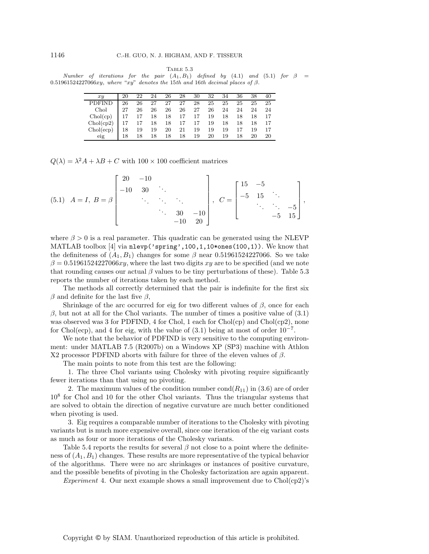TABLE  $5.3$ 

Number of iterations for the pair  $(A_1, B_1)$  defined by  $(4.1)$  and  $(5.1)$  for  $\beta =$ 0.51961524227066xy, where "xy" denotes the 15th and 16th decimal places of  $\beta$ .

| x u           | 20 | 22 | 24 | 26 | 28                   | 30 | 32 | 34 | 36 | 38 | 40  |
|---------------|----|----|----|----|----------------------|----|----|----|----|----|-----|
| <b>PDFIND</b> | 26 | 26 | 27 | 27 | 27                   | 28 | 25 | 25 | 25 | 25 | 25  |
| Chol          | 27 | 26 | 26 | 26 | 26                   | 27 | 26 | 24 | 24 | 24 | 24  |
| Chol(cp)      | 17 | 17 | 18 |    | 18   17   17         |    | 19 | 18 | 18 | 18 | -17 |
| Chol(cp2)     | 17 | 17 | 18 |    | $18\quad 17\quad 17$ |    | 19 | 18 | 18 | 18 | -17 |
| Chol(ecp)     | 18 | 19 | 19 | 20 | $\sim 21$            | 19 | 19 | 19 | 17 | 19 | -17 |
| eig           | 18 | 18 | 18 | 18 | 18                   | 19 | 20 | 19 | 18 | 20 | 20  |

 $Q(\lambda) = \lambda^2 A + \lambda B + C$  with  $100 \times 100$  coefficient matrices

(5.1) 
$$
A = I, B = \beta \begin{bmatrix} 20 & -10 \\ -10 & 30 & \ddots \\ & \ddots & \ddots & \ddots \\ & & 30 & -10 \\ & & & -10 & 20 \end{bmatrix}, C = \begin{bmatrix} 15 & -5 \\ -5 & 15 & \ddots \\ & \ddots & \ddots & -5 \\ & & -5 & 15 \end{bmatrix},
$$

where  $\beta > 0$  is a real parameter. This quadratic can be generated using the NLEVP MATLAB toolbox [4] via nlevp('spring', 100, 1, 10\*ones(100, 1)). We know that the definiteness of  $(A_1, B_1)$  changes for some  $\beta$  near 0.51961524227066. So we take  $\beta = 0.51961524227066xy$ , where the last two digits xy are to be specified (and we note that rounding causes our actual  $\beta$  values to be tiny perturbations of these). Table 5.3 reports the number of iterations taken by each method.

The methods all correctly determined that the pair is indefinite for the first six  $\beta$  and definite for the last five  $\beta$ ,

Shrinkage of the arc occurred for eig for two different values of  $\beta$ , once for each  $β$ , but not at all for the Chol variants. The number of times a positive value of  $(3.1)$ was observed was 3 for PDFIND, 4 for Chol, 1 each for  $Chol(cp)$  and  $Chol(cp2)$ , none for Chol(ecp), and 4 for eig, with the value of  $(3.1)$  being at most of order  $10^{-7}$ .

We note that the behavior of PDFIND is very sensitive to the computing environment: under MATLAB 7.5 (R2007b) on a Windows XP (SP3) machine with Athlon X2 processor PDFIND aborts with failure for three of the eleven values of  $\beta$ .

The main points to note from this test are the following:

1. The three Chol variants using Cholesky with pivoting require significantly fewer iterations than that using no pivoting.

2. The maximum values of the condition number  $cond(R_{11})$  in  $(3.6)$  are of order  $10<sup>8</sup>$  for Chol and 10 for the other Chol variants. Thus the triangular systems that are solved to obtain the direction of negative curvature are much better conditioned when pivoting is used.

3. Eig requires a comparable number of iterations to the Cholesky with pivoting variants but is much more expensive overall, since one iteration of the eig variant costs as much as four or more iterations of the Cholesky variants.

Table 5.4 reports the results for several  $\beta$  not close to a point where the definiteness of  $(A_1, B_1)$  changes. These results are more representative of the typical behavior of the algorithms. There were no arc shrinkages or instances of positive curvature, and the possible benefits of pivoting in the Cholesky factorization are again apparent.

*Experiment* 4. Our next example shows a small improvement due to Chol(cp2)'s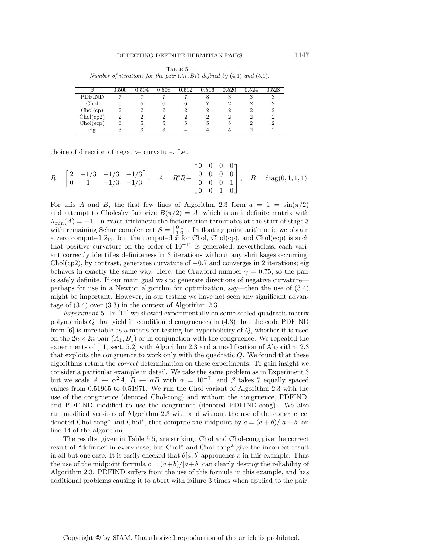Table 5.4 Number of iterations for the pair  $(A_1, B_1)$  defined by  $(4.1)$  and  $(5.1)$ .

|           | 0.500          | 0.504 | 0.508 | 0.512 | 0.516 | 0.520 | 0.524 | 0.528 |
|-----------|----------------|-------|-------|-------|-------|-------|-------|-------|
| PDFIND    | −              | ∽     | ⇁     |       | 8     | 3     | đ     | ω     |
| Chol      | 6              | 6     | h     | b     |       | 2     |       |       |
| Chol(cp)  | റ              | 2     | 2     | 2     | 2     | 2     |       |       |
| Chol(cp2) | $\overline{2}$ | 2     | 2     | 2     | 2     |       |       |       |
| Chol(ecp) |                | 5     | 5     | Ð     | Ð.    | 5.    |       |       |
| eig       | ച              | 3     |       |       |       |       |       |       |

choice of direction of negative curvature. Let

$$
R = \begin{bmatrix} 2 & -1/3 & -1/3 & -1/3 \\ 0 & 1 & -1/3 & -1/3 \end{bmatrix}, \quad A = R^*R + \begin{bmatrix} 0 & 0 & 0 & 0 \\ 0 & 0 & 0 & 0 \\ 0 & 0 & 0 & 1 \\ 0 & 0 & 1 & 0 \end{bmatrix}, \quad B = \text{diag}(0, 1, 1, 1).
$$

For this A and B, the first few lines of Algorithm 2.3 form  $a = 1 = \sin(\pi/2)$ and attempt to Cholesky factorize  $B(\pi/2) = A$ , which is an indefinite matrix with  $\lambda_{\min}(A) = -1$ . In exact arithmetic the factorization terminates at the start of stage 3 with remaining Schur complement  $S = \begin{bmatrix} 0 & 1 \\ 1 & 0 \end{bmatrix}$ . In floating point arithmetic we obtain a zero computed  $\hat{s}_{11}$ , but the computed  $\hat{x}$  for Chol, Chol(cp), and Chol(ecp) is such that positive curvature on the order of  $10^{-17}$  is generated; nevertheless, each variant correctly identifies definiteness in 3 iterations without any shrinkages occurring. Chol(cp2), by contrast, generates curvature of  $-0.7$  and converges in 2 iterations; eig behaves in exactly the same way. Here, the Crawford number  $\gamma = 0.75$ , so the pair is safely definite. If our main goal was to generate directions of negative curvature perhaps for use in a Newton algorithm for optimization, say—then the use of (3.4) might be important. However, in our testing we have not seen any significant advantage of (3.4) over (3.3) in the context of Algorithm 2.3.

*Experiment* 5. In [11] we showed experimentally on some scaled quadratic matrix polynomials Q that yield ill conditioned congruences in (4.3) that the code PDFIND from  $[6]$  is unreliable as a means for testing for hyperbolicity of  $Q$ , whether it is used on the  $2n \times 2n$  pair  $(A_1, B_1)$  or in conjunction with the congruence. We repeated the experiments of [11, sect. 5.2] with Algorithm 2.3 and a modification of Algorithm 2.3 that exploits the congruence to work only with the quadratic Q. We found that these algorithms return the *correct* determination on these experiments. To gain insight we consider a particular example in detail. We take the same problem as in Experiment 3 but we scale  $A \leftarrow \alpha^2 A$ ,  $B \leftarrow \alpha B$  with  $\alpha = 10^{-7}$ , and  $\beta$  takes 7 equally spaced values from 0.51965 to 0.51971. We run the Chol variant of Algorithm 2.3 with the use of the congruence (denoted Chol-cong) and without the congruence, PDFIND, and PDFIND modified to use the congruence (denoted PDFIND-cong). We also run modified versions of Algorithm 2.3 with and without the use of the congruence, denoted Chol-cong<sup>\*</sup> and Chol<sup>\*</sup>, that compute the midpoint by  $c = (a + b)/|a + b|$  on line 14 of the algorithm.

The results, given in Table 5.5, are striking. Chol and Chol-cong give the correct result of "definite" in every case, but Chol\* and Chol-cong\* give the incorrect result in all but one case. It is easily checked that  $\theta|a, b|$  approaches  $\pi$  in this example. Thus the use of the midpoint formula  $c = (a+b)/|a+b|$  can clearly destroy the reliability of Algorithm 2.3. PDFIND suffers from the use of this formula in this example, and has additional problems causing it to abort with failure 3 times when applied to the pair.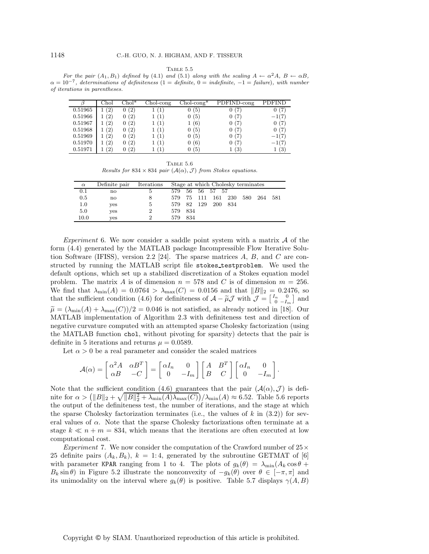TABLE  $5.5$ 

For the pair  $(A_1, B_1)$  defined by (4.1) and (5.1) along with the scaling  $A \leftarrow \alpha^2 A$ ,  $B \leftarrow \alpha B$ ,  $\alpha = 10^{-7}$ , determinations of definiteness (1 = definite, 0 = indefinite, -1 = failure), with number of iterations in parentheses.

|         | Chol        | $Chol^*$ | $Chol-cong$ | $Chol-cong*$ | PDFIND-cong       | PDFIND  |
|---------|-------------|----------|-------------|--------------|-------------------|---------|
| 0.51965 | (2)         | 0(2)     | Ί           | 0(5)         | (7                | 0(7)    |
| 0.51966 | (2)         | 0(2)     | (1)         | 0(5)         |                   | $-1(7)$ |
| 0.51967 | (2)         | 0(2)     | (1)         | 1(6)         | 0(7)              | 0(7)    |
| 0.51968 | (2)         | 0(2)     | (1)         | 0(5)         | 0(7)              | 0(7)    |
| 0.51969 | (2)         | 0(2)     | (1)         | 0(5)         | 0(7)              | $-1(7)$ |
| 0.51970 | (2)         | 0(2)     | (1)         | 0(6)         | 0(7)              | $-1(7)$ |
| 0.51971 | $2^{\circ}$ | (2)      |             | 0(5)         | $\left( 3\right)$ | (3)     |

Table 5.6 Results for 834 × 834 pair  $(A(\alpha), \mathcal{J})$  from Stokes equations.

| $\alpha$ | Definite pair | Iterations     |         |      |        | Stage at which Cholesky terminates |      |     |     |     |
|----------|---------------|----------------|---------|------|--------|------------------------------------|------|-----|-----|-----|
| 0.1      | no            | 5              | 579     | 56 - |        | 56 57 57                           |      |     |     |     |
| 0.5      | no            |                | 579     |      | 75 111 | 161                                | -230 | 580 | 264 | 581 |
| $1.0\,$  | yes           | 5              | 579 82  |      | 129    | 200                                | 834  |     |     |     |
| 5.0      | ves           | $\overline{2}$ | 579 834 |      |        |                                    |      |     |     |     |
| 10.0     | ves           | $\mathcal{D}$  | 579     | -834 |        |                                    |      |     |     |     |

*Experiment* 6. We now consider a saddle point system with a matrix A of the form (4.4) generated by the MATLAB package Incompressible Flow Iterative Solution Software (IFISS), version 2.2 [24]. The sparse matrices  $A, B$ , and  $C$  are constructed by running the MATLAB script file stokes\_testproblem. We used the default options, which set up a stabilized discretization of a Stokes equation model problem. The matrix A is of dimension  $n = 578$  and C is of dimension  $m = 256$ . We find that  $\lambda_{\min}(A) = 0.0764 > \lambda_{\max}(C) = 0.0156$  and that  $||B||_2 = 0.2476$ , so that the sufficient condition (4.6) for definiteness of  $\mathcal{A} - \tilde{\mu} \mathcal{J}$  with  $\mathcal{J} = \begin{bmatrix} I_n & 0 \\ 0 & -I_m \end{bmatrix}$  and  $\widetilde{\mu} = (\lambda_{\min}(A) + \lambda_{\max}(C))/2 = 0.046$  is not satisfied, as already noticed in [18]. Our MATLAB implementation of Algorithm 2.3 with definiteness test and direction of negative curvature computed with an attempted sparse Cholesky factorization (using the MATLAB function chol, without pivoting for sparsity) detects that the pair is definite in 5 iterations and returns  $\mu = 0.0589$ .

Let  $\alpha > 0$  be a real parameter and consider the scaled matrices

$$
\mathcal{A}(\alpha) = \begin{bmatrix} \alpha^2 A & \alpha B^T \\ \alpha B & -C \end{bmatrix} = \begin{bmatrix} \alpha I_n & 0 \\ 0 & -I_m \end{bmatrix} \begin{bmatrix} A & B^T \\ B & C \end{bmatrix} \begin{bmatrix} \alpha I_n & 0 \\ 0 & -I_m \end{bmatrix}.
$$

Note that the sufficient condition (4.6) guarantees that the pair  $(\mathcal{A}(\alpha), \mathcal{J})$  is definite for  $\alpha > (||B||_2 + \sqrt{||B||_2^2 + \lambda_{\min}(A)\lambda_{\max}(C)})/\lambda_{\min}(A) \approx 6.52$ . Table 5.6 reports the output of the definiteness test, the number of iterations, and the stage at which the sparse Cholesky factorization terminates (i.e., the values of k in  $(3.2)$ ) for several values of  $\alpha$ . Note that the sparse Cholesky factorizations often terminate at a stage  $k \ll n + m = 834$ , which means that the iterations are often executed at low computational cost.

*Experiment* 7. We now consider the computation of the Crawford number of  $25 \times$ 25 definite pairs  $(A_k, B_k)$ ,  $k = 1:4$ , generated by the subroutine GETMAT of [6] with parameter KPAR ranging from 1 to 4. The plots of  $g_k(\theta) = \lambda_{\min}(A_k \cos \theta +$  $B_k \sin \theta$ ) in Figure 5.2 illustrate the nonconvexity of  $-g_k(\theta)$  over  $\theta \in [-\pi, \pi]$  and its unimodality on the interval where  $g_k(\theta)$  is positive. Table 5.7 displays  $\gamma(A, B)$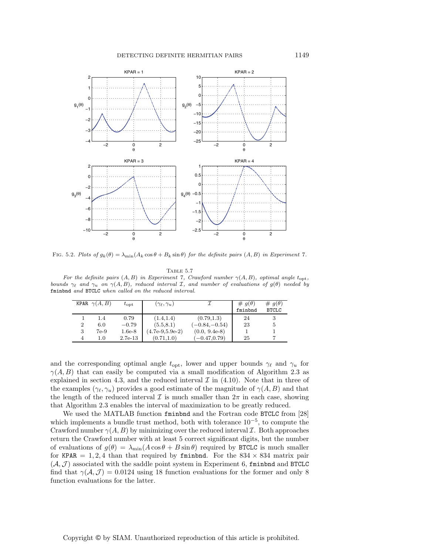

FIG. 5.2. Plots of  $g_k(\theta) = \lambda_{\min}(A_k \cos \theta + B_k \sin \theta)$  for the definite pairs  $(A, B)$  in Experiment 7.

#### Table 5.7

For the definite pairs  $(A, B)$  in Experiment 7, Crawford number  $\gamma(A, B)$ , optimal angle  $t_{\rm opt}$ ,<br>ds  $\gamma_e$  and  $\gamma_e$  an  $\gamma(A, B)$ , reduced interval  $\mathcal{I}$ , and number of evaluations of  $a(\theta)$  needed by bounds  $\gamma_{\ell}$  and  $\gamma_{u}$  on  $\gamma(A, B)$ , reduced interval I, and number of evaluations of  $g(\theta)$  needed by<br>frighted and  $BTCC$  when called on the reduced interval fminbnd and BTCLC when called on the reduced interval.

| (0.79, 1.3)<br>(1.4.1.4)<br>0.79<br>1.4                           | 24 |   |
|-------------------------------------------------------------------|----|---|
|                                                                   |    |   |
| $(-0.84,-0.54)$<br>(5.5, 8.1)<br>$-0.79$<br>$\overline{2}$<br>6.0 | 23 | 5 |
| $(0.0, 9.4e-8)$<br>$(4.7e-9.5.9e-2)$<br>7e-9<br>$1.6e-8$          |    |   |
| $(-0.47, 0.79)$<br>(0.71, 1.0)<br>$2.7e-13$<br>1.0                | 25 |   |

and the corresponding optimal angle  $t_{\rm opt}$ , lower and upper bounds  $\gamma_\ell$  and  $\gamma_u$  for  $\gamma(A, B)$  that can easily be computed via a small modification of Algorithm 2.3 as explained in section 4.3, and the reduced interval  $\mathcal I$  in (4.10). Note that in three of the examples  $(\gamma_{\ell}, \gamma_u)$  provides a good estimate of the magnitude of  $\gamma(A, B)$  and that the length of the reduced interval  $\mathcal I$  is much smaller than  $2\pi$  in each case, showing that Algorithm 2.3 enables the interval of maximization to be greatly reduced.

We used the MATLAB function fminbnd and the Fortran code BTCLC from [28] which implements a bundle trust method, both with tolerance  $10^{-5}$ , to compute the Crawford number  $\gamma(A, B)$  by minimizing over the reduced interval  $\mathcal I$ . Both approaches return the Crawford number with at least 5 correct significant digits, but the number of evaluations of  $g(\theta) = \lambda_{\min}(A\cos\theta + B\sin\theta)$  required by BTCLC is much smaller for KPAR  $= 1, 2, 4$  than that required by fmind bnd. For the  $834 \times 834$  matrix pair  $(\mathcal{A}, \mathcal{J})$  associated with the saddle point system in Experiment 6, fministed and BTCLC find that  $\gamma(\mathcal{A}, \mathcal{J}) = 0.0124$  using 18 function evaluations for the former and only 8 function evaluations for the latter.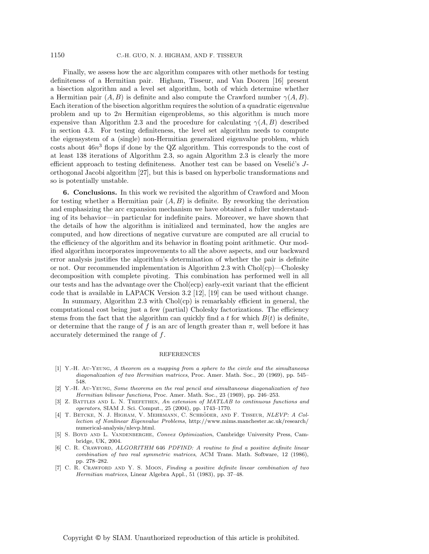Finally, we assess how the arc algorithm compares with other methods for testing definiteness of a Hermitian pair. Higham, Tisseur, and Van Dooren [16] present a bisection algorithm and a level set algorithm, both of which determine whether a Hermitian pair  $(A, B)$  is definite and also compute the Crawford number  $\gamma(A, B)$ . Each iteration of the bisection algorithm requires the solution of a quadratic eigenvalue problem and up to  $2n$  Hermitian eigenproblems, so this algorithm is much more expensive than Algorithm 2.3 and the procedure for calculating  $\gamma(A, B)$  described in section 4.3. For testing definiteness, the level set algorithm needs to compute the eigensystem of a (single) non-Hermitian generalized eigenvalue problem, which costs about  $46n^3$  flops if done by the QZ algorithm. This corresponds to the cost of at least 138 iterations of Algorithm 2.3, so again Algorithm 2.3 is clearly the more efficient approach to testing definiteness. Another test can be based on Veselić's Jorthogonal Jacobi algorithm [27], but this is based on hyperbolic transformations and so is potentially unstable.

**6. Conclusions.** In this work we revisited the algorithm of Crawford and Moon for testing whether a Hermitian pair  $(A, B)$  is definite. By reworking the derivation and emphasizing the arc expansion mechanism we have obtained a fuller understanding of its behavior—in particular for indefinite pairs. Moreover, we have shown that the details of how the algorithm is initialized and terminated, how the angles are computed, and how directions of negative curvature are computed are all crucial to the efficiency of the algorithm and its behavior in floating point arithmetic. Our modified algorithm incorporates improvements to all the above aspects, and our backward error analysis justifies the algorithm's determination of whether the pair is definite or not. Our recommended implementation is Algorithm 2.3 with  $Chol(c)$ —Cholesky decomposition with complete pivoting. This combination has performed well in all our tests and has the advantage over the Chol(ecp) early-exit variant that the efficient code that is available in LAPACK Version 3.2 [12], [19] can be used without change.

In summary, Algorithm 2.3 with  $Chol(cp)$  is remarkably efficient in general, the computational cost being just a few (partial) Cholesky factorizations. The efficiency stems from the fact that the algorithm can quickly find a t for which  $B(t)$  is definite, or determine that the range of f is an arc of length greater than  $\pi$ , well before it has accurately determined the range of f.

### REFERENCES

- [1] Y.-H. Au-Yeung, A theorem on a mapping from a sphere to the circle and the simultaneous diagonalization of two Hermitian matrices, Proc. Amer. Math. Soc., 20 (1969), pp. 545– 548.
- [2] Y.-H. Au-Yeung, Some theorems on the real pencil and simultaneous diagonalization of two Hermitian bilinear functions, Proc. Amer. Math. Soc., 23 (1969), pp. 246–253.
- [3] Z. BATTLES AND L. N. TREFETHEN, An extension of MATLAB to continuous functions and operators, SIAM J. Sci. Comput., 25 (2004), pp. 1743–1770.
- [4] T. BETCKE, N. J. HIGHAM, V. MEHRMANN, C. SCHRÖDER, AND F. TISSEUR, NLEVP: A Collection of Nonlinear Eigenvalue Problems, http://www.mims.manchester.ac.uk/research/ numerical-analysis/nlevp.html.
- [5] S. Boyd and L. Vandenberghe, Convex Optimization, Cambridge University Press, Cambridge, UK, 2004.
- [6] C. R. CRAWFORD, ALGORITHM 646 PDFIND: A routine to find a positive definite linear combination of two real symmetric matrices, ACM Trans. Math. Software, 12 (1986), pp. 278–282.
- [7] C. R. Crawford and Y. S. Moon, Finding a positive definite linear combination of two Hermitian matrices, Linear Algebra Appl., 51 (1983), pp. 37–48.